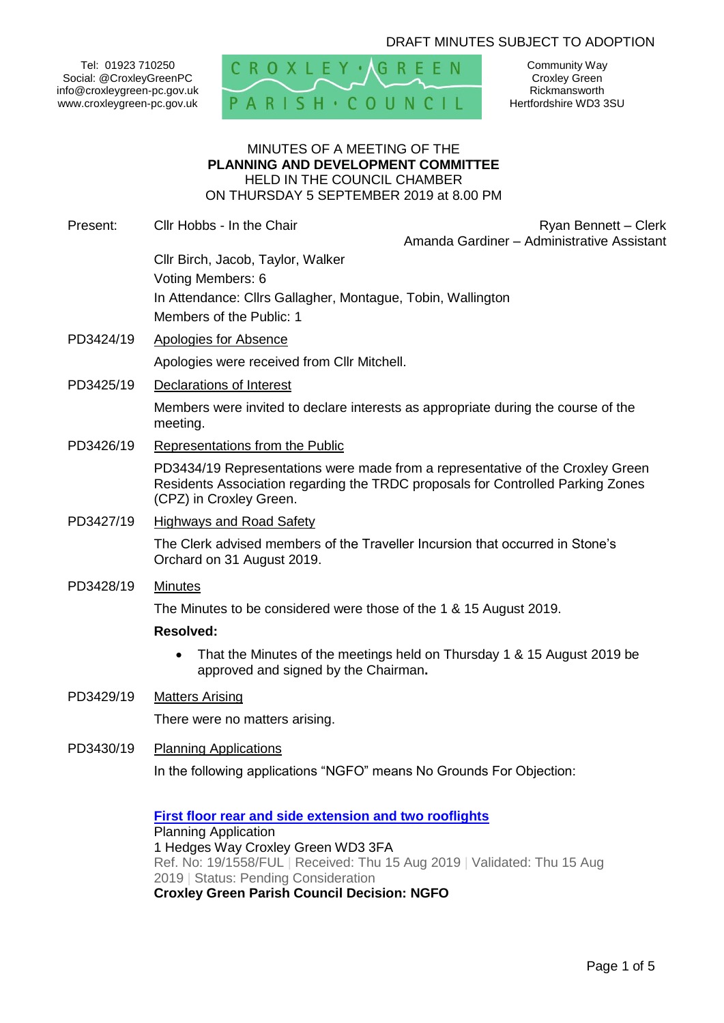# DRAFT MINUTES SUBJECT TO ADOPTION

Tel: 01923 710250 Social: @CroxleyGreenPC info@croxleygreen-pc.gov.uk www.croxleygreen-pc.gov.uk



Community Way Croxley Green Rickmansworth Hertfordshire WD3 3SU

#### MINUTES OF A MEETING OF THE **PLANNING AND DEVELOPMENT COMMITTEE** HELD IN THE COUNCIL CHAMBER ON THURSDAY 5 SEPTEMBER 2019 at 8.00 PM

Present: Cllr Hobbs - In the Chair **Ryan Bennett** – Clerk Amanda Gardiner – Administrative Assistant

- Cllr Birch, Jacob, Taylor, Walker Voting Members: 6 In Attendance: Cllrs Gallagher, Montague, Tobin, Wallington Members of the Public: 1
- PD3424/19 Apologies for Absence

Apologies were received from Cllr Mitchell.

PD3425/19 Declarations of Interest

Members were invited to declare interests as appropriate during the course of the meeting.

PD3426/19 Representations from the Public

PD3434/19 Representations were made from a representative of the Croxley Green Residents Association regarding the TRDC proposals for Controlled Parking Zones (CPZ) in Croxley Green.

PD3427/19 Highways and Road Safety

The Clerk advised members of the Traveller Incursion that occurred in Stone's Orchard on 31 August 2019.

PD3428/19 Minutes

The Minutes to be considered were those of the 1 & 15 August 2019.

#### **Resolved:**

• That the Minutes of the meetings held on Thursday 1 & 15 August 2019 be approved and signed by the Chairman**.**

# PD3429/19 Matters Arising

There were no matters arising.

PD3430/19 Planning Applications

In the following applications "NGFO" means No Grounds For Objection:

**[First floor rear and side extension and two rooflights](https://www3.threerivers.gov.uk/online-applications/applicationDetails.do?activeTab=summary&keyVal=PW9NK5QFGDL00&prevPage=inTray)** Planning Application 1 Hedges Way Croxley Green WD3 3FA Ref. No: 19/1558/FUL | Received: Thu 15 Aug 2019 | Validated: Thu 15 Aug 2019 | Status: Pending Consideration **Croxley Green Parish Council Decision: NGFO**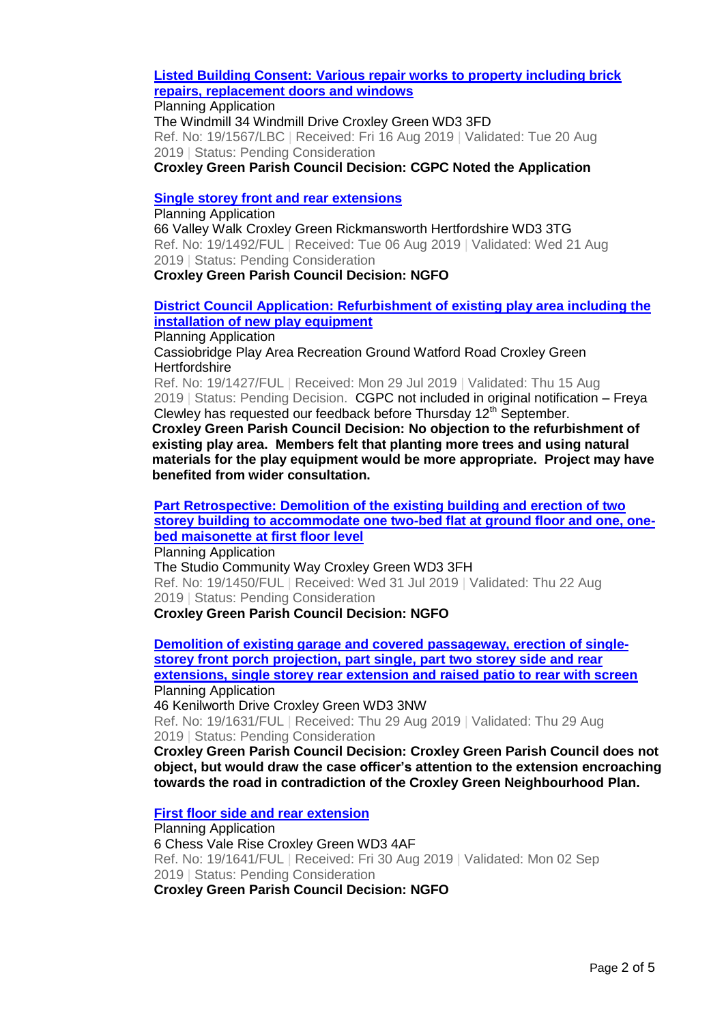**[Listed Building Consent: Various repair works to property including brick](https://www3.threerivers.gov.uk/online-applications/applicationDetails.do?activeTab=summary&keyVal=PWBI5PQFGE600&prevPage=inTray)  [repairs, replacement doors and windows](https://www3.threerivers.gov.uk/online-applications/applicationDetails.do?activeTab=summary&keyVal=PWBI5PQFGE600&prevPage=inTray)**

Planning Application The Windmill 34 Windmill Drive Croxley Green WD3 3FD Ref. No: 19/1567/LBC | Received: Fri 16 Aug 2019 | Validated: Tue 20 Aug 2019 | Status: Pending Consideration

**Croxley Green Parish Council Decision: CGPC Noted the Application**

### **[Single storey front and rear extensions](https://www3.threerivers.gov.uk/online-applications/applicationDetails.do?activeTab=summary&keyVal=PVTIA7QF05Z00&prevPage=inTray)**

Planning Application 66 Valley Walk Croxley Green Rickmansworth Hertfordshire WD3 3TG Ref. No: 19/1492/FUL | Received: Tue 06 Aug 2019 | Validated: Wed 21 Aug 2019 | Status: Pending Consideration **Croxley Green Parish Council Decision: NGFO**

# **[District Council Application: Refurbishment of existing play area including the](https://www3.threerivers.gov.uk/online-applications/applicationDetails.do?activeTab=summary&keyVal=PVEH9VQFG7H00&prevPage=inTray)  [installation of new play equipment](https://www3.threerivers.gov.uk/online-applications/applicationDetails.do?activeTab=summary&keyVal=PVEH9VQFG7H00&prevPage=inTray)**

Planning Application

Cassiobridge Play Area Recreation Ground Watford Road Croxley Green **Hertfordshire** 

Ref. No: 19/1427/FUL | Received: Mon 29 Jul 2019 | Validated: Thu 15 Aug 2019 | Status: Pending Decision. CGPC not included in original notification - Freya Clewley has requested our feedback before Thursday 12<sup>th</sup> September.

**Croxley Green Parish Council Decision: No objection to the refurbishment of existing play area. Members felt that planting more trees and using natural materials for the play equipment would be more appropriate. Project may have benefited from wider consultation.**

# **[Part Retrospective: Demolition of the existing building and erection of two](https://www3.threerivers.gov.uk/online-applications/applicationDetails.do?activeTab=summary&keyVal=PVHVJEQFG8J00&prevPage=inTray)  [storey building to accommodate one two-bed flat at ground floor and one, one](https://www3.threerivers.gov.uk/online-applications/applicationDetails.do?activeTab=summary&keyVal=PVHVJEQFG8J00&prevPage=inTray)[bed maisonette at first floor level](https://www3.threerivers.gov.uk/online-applications/applicationDetails.do?activeTab=summary&keyVal=PVHVJEQFG8J00&prevPage=inTray)**

Planning Application

The Studio Community Way Croxley Green WD3 3FH Ref. No: 19/1450/FUL | Received: Wed 31 Jul 2019 | Validated: Thu 22 Aug 2019 | Status: Pending Consideration

**Croxley Green Parish Council Decision: NGFO**

**[Demolition of existing garage and covered passageway, erection of single](https://www3.threerivers.gov.uk/online-applications/applicationDetails.do?activeTab=summary&keyVal=PWZVYNQFGHQ00&prevPage=inTray)[storey front porch projection, part single, part two storey side and rear](https://www3.threerivers.gov.uk/online-applications/applicationDetails.do?activeTab=summary&keyVal=PWZVYNQFGHQ00&prevPage=inTray)  [extensions, single storey rear extension and raised patio to rear with screen](https://www3.threerivers.gov.uk/online-applications/applicationDetails.do?activeTab=summary&keyVal=PWZVYNQFGHQ00&prevPage=inTray)** Planning Application

46 Kenilworth Drive Croxley Green WD3 3NW

Ref. No: 19/1631/FUL | Received: Thu 29 Aug 2019 | Validated: Thu 29 Aug 2019 | Status: Pending Consideration

**Croxley Green Parish Council Decision: Croxley Green Parish Council does not object, but would draw the case officer's attention to the extension encroaching towards the road in contradiction of the Croxley Green Neighbourhood Plan.**

## **[First floor side and rear extension](https://www3.threerivers.gov.uk/online-applications/applicationDetails.do?activeTab=summary&keyVal=PX1FJGQFGIC00&prevPage=inTray)**

Planning Application 6 Chess Vale Rise Croxley Green WD3 4AF Ref. No: 19/1641/FUL | Received: Fri 30 Aug 2019 | Validated: Mon 02 Sep 2019 | Status: Pending Consideration **Croxley Green Parish Council Decision: NGFO**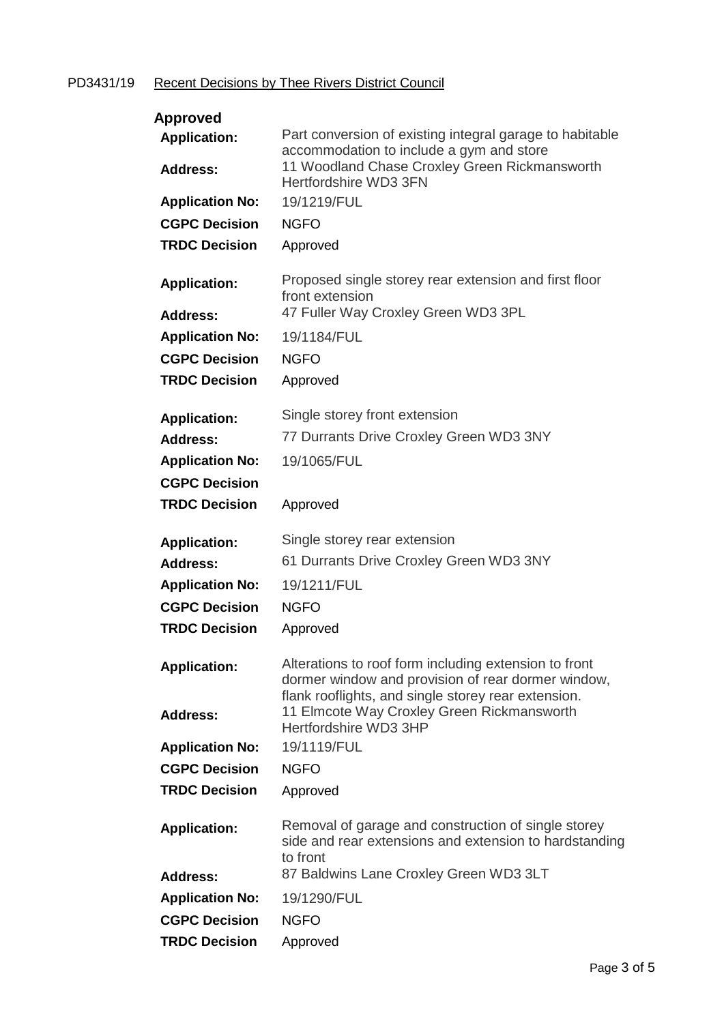# PD3431/19 Recent Decisions by Thee Rivers District Council

| <b>Approved</b>                        |                                                                                                                                                       |
|----------------------------------------|-------------------------------------------------------------------------------------------------------------------------------------------------------|
| <b>Application:</b><br><b>Address:</b> | Part conversion of existing integral garage to habitable<br>accommodation to include a gym and store<br>11 Woodland Chase Croxley Green Rickmansworth |
|                                        | Hertfordshire WD3 3FN                                                                                                                                 |
| <b>Application No:</b>                 | 19/1219/FUL                                                                                                                                           |
| <b>CGPC Decision</b>                   | <b>NGFO</b>                                                                                                                                           |
| <b>TRDC Decision</b>                   | Approved                                                                                                                                              |
| <b>Application:</b>                    | Proposed single storey rear extension and first floor<br>front extension                                                                              |
| Address:                               | 47 Fuller Way Croxley Green WD3 3PL                                                                                                                   |
| <b>Application No:</b>                 | 19/1184/FUL                                                                                                                                           |
| <b>CGPC Decision</b>                   | <b>NGFO</b>                                                                                                                                           |
|                                        |                                                                                                                                                       |
| <b>TRDC Decision</b>                   | Approved                                                                                                                                              |
| <b>Application:</b>                    | Single storey front extension                                                                                                                         |
| Address:                               | 77 Durrants Drive Croxley Green WD3 3NY                                                                                                               |
| <b>Application No:</b>                 | 19/1065/FUL                                                                                                                                           |
|                                        |                                                                                                                                                       |
| <b>CGPC Decision</b>                   |                                                                                                                                                       |
| <b>TRDC Decision</b>                   | Approved                                                                                                                                              |
|                                        |                                                                                                                                                       |
|                                        | Single storey rear extension                                                                                                                          |
| <b>Application:</b>                    |                                                                                                                                                       |
| Address:                               | 61 Durrants Drive Croxley Green WD3 3NY                                                                                                               |
| <b>Application No:</b>                 | 19/1211/FUL                                                                                                                                           |
| <b>CGPC Decision</b>                   | <b>NGFO</b>                                                                                                                                           |
| <b>TRDC Decision</b>                   | Approved                                                                                                                                              |
| <b>Application:</b>                    | Alterations to roof form including extension to front<br>dormer window and provision of rear dormer window,                                           |
| <b>Address:</b>                        | flank rooflights, and single storey rear extension.<br>11 Elmcote Way Croxley Green Rickmansworth<br>Hertfordshire WD3 3HP                            |
| <b>Application No:</b>                 | 19/1119/FUL                                                                                                                                           |
| <b>CGPC Decision</b>                   | <b>NGFO</b>                                                                                                                                           |
| <b>TRDC Decision</b>                   | Approved                                                                                                                                              |
| <b>Application:</b>                    | Removal of garage and construction of single storey<br>side and rear extensions and extension to hardstanding<br>to front                             |
| <b>Address:</b>                        | 87 Baldwins Lane Croxley Green WD3 3LT                                                                                                                |
| <b>Application No:</b>                 | 19/1290/FUL                                                                                                                                           |
| <b>CGPC Decision</b>                   | <b>NGFO</b>                                                                                                                                           |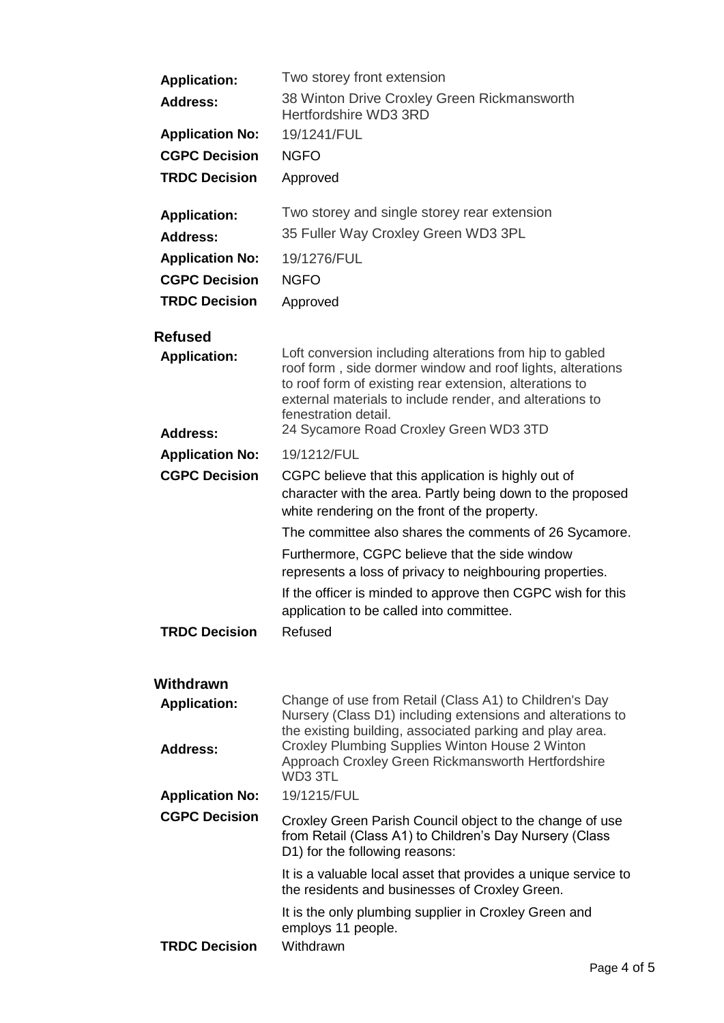| <b>Application:</b>                    | Two storey front extension                                                                                                                                                                                                                                                                                      |
|----------------------------------------|-----------------------------------------------------------------------------------------------------------------------------------------------------------------------------------------------------------------------------------------------------------------------------------------------------------------|
| <b>Address:</b>                        | 38 Winton Drive Croxley Green Rickmansworth<br>Hertfordshire WD3 3RD                                                                                                                                                                                                                                            |
| <b>Application No:</b>                 | 19/1241/FUL                                                                                                                                                                                                                                                                                                     |
| <b>CGPC Decision</b>                   | <b>NGFO</b>                                                                                                                                                                                                                                                                                                     |
| <b>TRDC Decision</b>                   | Approved                                                                                                                                                                                                                                                                                                        |
| <b>Application:</b>                    | Two storey and single storey rear extension                                                                                                                                                                                                                                                                     |
| <b>Address:</b>                        | 35 Fuller Way Croxley Green WD3 3PL                                                                                                                                                                                                                                                                             |
| <b>Application No:</b>                 | 19/1276/FUL                                                                                                                                                                                                                                                                                                     |
| <b>CGPC Decision</b>                   | <b>NGFO</b>                                                                                                                                                                                                                                                                                                     |
| <b>TRDC Decision</b>                   | Approved                                                                                                                                                                                                                                                                                                        |
| <b>Refused</b>                         |                                                                                                                                                                                                                                                                                                                 |
| <b>Application:</b><br><b>Address:</b> | Loft conversion including alterations from hip to gabled<br>roof form, side dormer window and roof lights, alterations<br>to roof form of existing rear extension, alterations to<br>external materials to include render, and alterations to<br>fenestration detail.<br>24 Sycamore Road Croxley Green WD3 3TD |
| <b>Application No:</b>                 | 19/1212/FUL                                                                                                                                                                                                                                                                                                     |
| <b>CGPC Decision</b>                   | CGPC believe that this application is highly out of<br>character with the area. Partly being down to the proposed<br>white rendering on the front of the property.                                                                                                                                              |
|                                        | The committee also shares the comments of 26 Sycamore.                                                                                                                                                                                                                                                          |
|                                        | Furthermore, CGPC believe that the side window<br>represents a loss of privacy to neighbouring properties.<br>If the officer is minded to approve then CGPC wish for this<br>application to be called into committee.                                                                                           |
| <b>TRDC Decision</b>                   | Refused                                                                                                                                                                                                                                                                                                         |
| Withdrawn                              |                                                                                                                                                                                                                                                                                                                 |
| <b>Application:</b>                    | Change of use from Retail (Class A1) to Children's Day<br>Nursery (Class D1) including extensions and alterations to<br>the existing building, associated parking and play area.                                                                                                                                |
| <b>Address:</b>                        | Croxley Plumbing Supplies Winton House 2 Winton<br>Approach Croxley Green Rickmansworth Hertfordshire<br>WD3 3TL                                                                                                                                                                                                |
| <b>Application No:</b>                 | 19/1215/FUL                                                                                                                                                                                                                                                                                                     |
| <b>CGPC Decision</b>                   | Croxley Green Parish Council object to the change of use<br>from Retail (Class A1) to Children's Day Nursery (Class<br>D1) for the following reasons:                                                                                                                                                           |
|                                        | It is a valuable local asset that provides a unique service to<br>the residents and businesses of Croxley Green.                                                                                                                                                                                                |
| <b>TRDC Decision</b>                   | It is the only plumbing supplier in Croxley Green and<br>employs 11 people.<br>Withdrawn                                                                                                                                                                                                                        |
|                                        |                                                                                                                                                                                                                                                                                                                 |